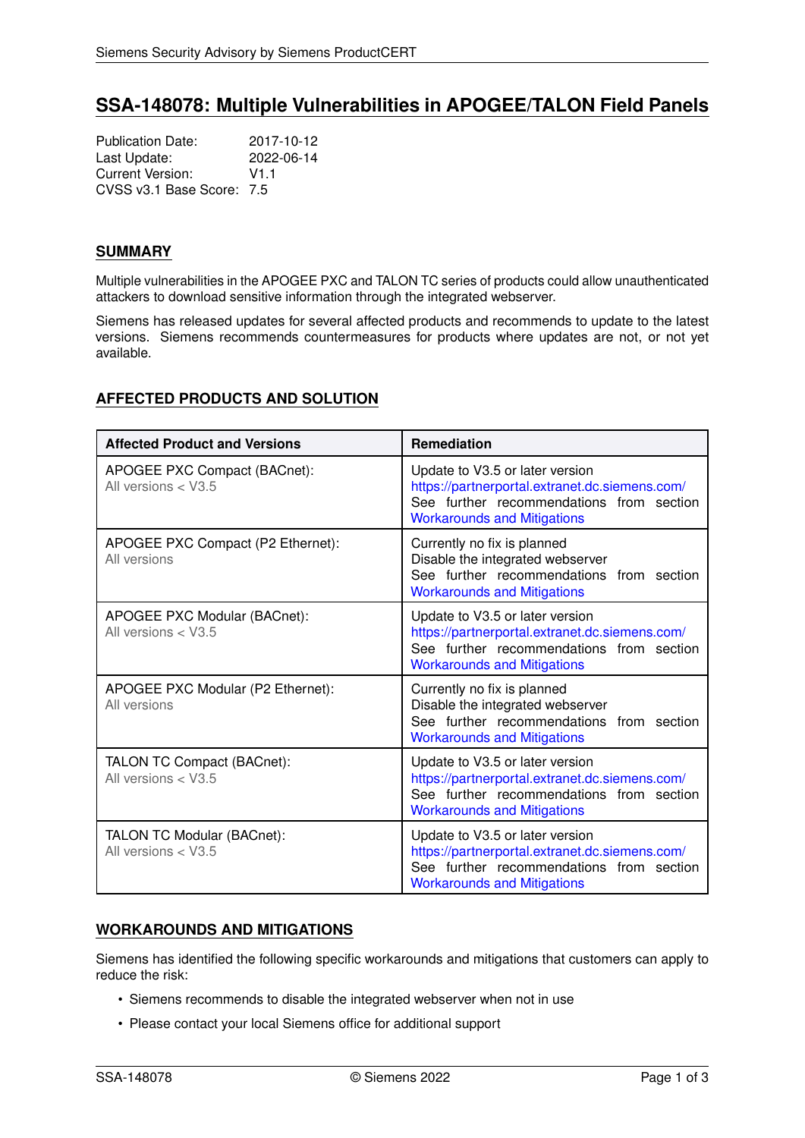# **SSA-148078: Multiple Vulnerabilities in APOGEE/TALON Field Panels**

Publication Date: 2017-10-12<br>
Last Update: 2022-06-14 Last Update: Current Version: V1.1 CVSS v3.1 Base Score: 7.5

#### **SUMMARY**

Multiple vulnerabilities in the APOGEE PXC and TALON TC series of products could allow unauthenticated attackers to download sensitive information through the integrated webserver.

Siemens has released updates for several affected products and recommends to update to the latest versions. Siemens recommends countermeasures for products where updates are not, or not yet available.

# <span id="page-0-1"></span>**AFFECTED PRODUCTS AND SOLUTION**

| <b>Affected Product and Versions</b>                  | <b>Remediation</b>                                                                                                                                                  |
|-------------------------------------------------------|---------------------------------------------------------------------------------------------------------------------------------------------------------------------|
| APOGEE PXC Compact (BACnet):<br>All versions $<$ V3.5 | Update to V3.5 or later version<br>https://partnerportal.extranet.dc.siemens.com/<br>See further recommendations from section<br><b>Workarounds and Mitigations</b> |
| APOGEE PXC Compact (P2 Ethernet):<br>All versions     | Currently no fix is planned<br>Disable the integrated webserver<br>See further recommendations from section<br><b>Workarounds and Mitigations</b>                   |
| APOGEE PXC Modular (BACnet):<br>All versions $<$ V3.5 | Update to V3.5 or later version<br>https://partnerportal.extranet.dc.siemens.com/<br>See further recommendations from section<br><b>Workarounds and Mitigations</b> |
| APOGEE PXC Modular (P2 Ethernet):<br>All versions     | Currently no fix is planned<br>Disable the integrated webserver<br>See further recommendations from section<br><b>Workarounds and Mitigations</b>                   |
| TALON TC Compact (BACnet):<br>All versions $<$ V3.5   | Update to V3.5 or later version<br>https://partnerportal.extranet.dc.siemens.com/<br>See further recommendations from section<br><b>Workarounds and Mitigations</b> |
| TALON TC Modular (BACnet):<br>All versions $<$ V3.5   | Update to V3.5 or later version<br>https://partnerportal.extranet.dc.siemens.com/<br>See further recommendations from section<br><b>Workarounds and Mitigations</b> |

#### <span id="page-0-0"></span>**WORKAROUNDS AND MITIGATIONS**

Siemens has identified the following specific workarounds and mitigations that customers can apply to reduce the risk:

- Siemens recommends to disable the integrated webserver when not in use
- Please contact your local Siemens office for additional support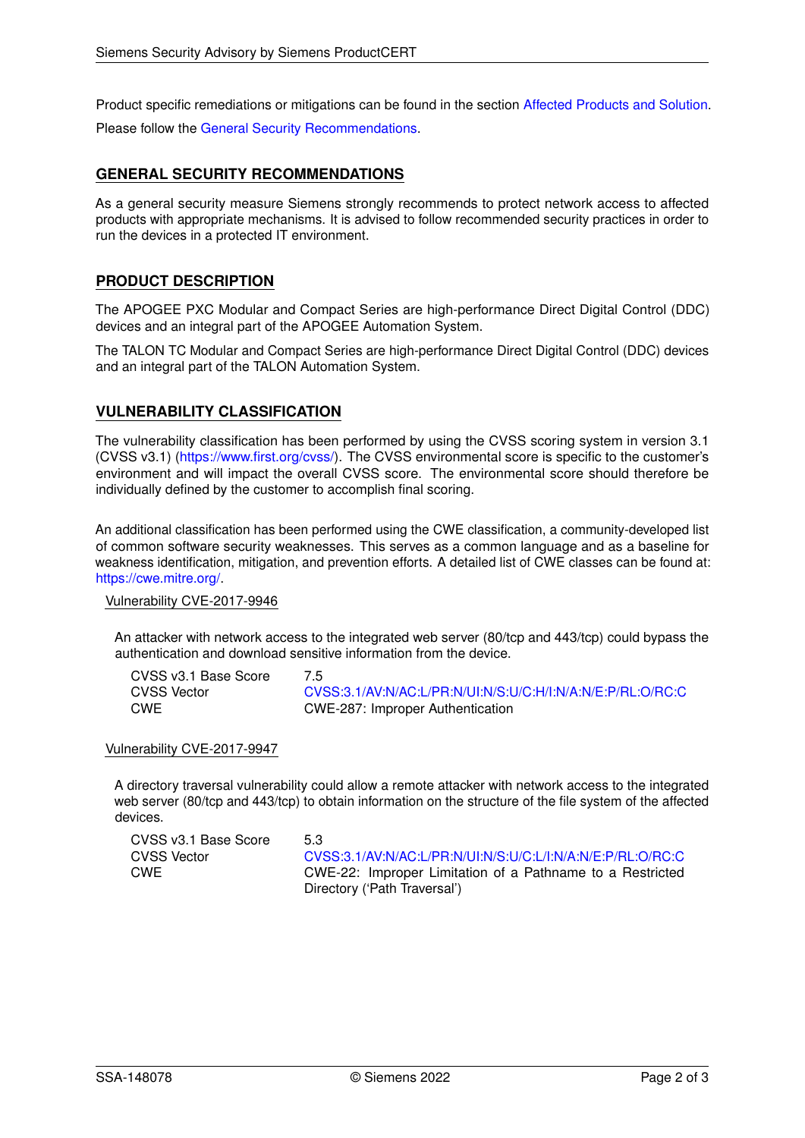Product specific remediations or mitigations can be found in the section [Affected Products and Solution.](#page-0-1)

<span id="page-1-0"></span>Please follow the [General Security Recommendations.](#page-1-0)

#### **GENERAL SECURITY RECOMMENDATIONS**

As a general security measure Siemens strongly recommends to protect network access to affected products with appropriate mechanisms. It is advised to follow recommended security practices in order to run the devices in a protected IT environment.

### **PRODUCT DESCRIPTION**

The APOGEE PXC Modular and Compact Series are high-performance Direct Digital Control (DDC) devices and an integral part of the APOGEE Automation System.

The TALON TC Modular and Compact Series are high-performance Direct Digital Control (DDC) devices and an integral part of the TALON Automation System.

### **VULNERABILITY CLASSIFICATION**

The vulnerability classification has been performed by using the CVSS scoring system in version 3.1 (CVSS v3.1) [\(https://www.first.org/cvss/\)](https://www.first.org/cvss/). The CVSS environmental score is specific to the customer's environment and will impact the overall CVSS score. The environmental score should therefore be individually defined by the customer to accomplish final scoring.

An additional classification has been performed using the CWE classification, a community-developed list of common software security weaknesses. This serves as a common language and as a baseline for weakness identification, mitigation, and prevention efforts. A detailed list of CWE classes can be found at: [https://cwe.mitre.org/.](https://cwe.mitre.org/)

Vulnerability CVE-2017-9946

An attacker with network access to the integrated web server (80/tcp and 443/tcp) could bypass the authentication and download sensitive information from the device.

| CVSS v3.1 Base Score | 7.5                                                        |
|----------------------|------------------------------------------------------------|
| CVSS Vector          | CVSS:3.1/AV:N/AC:L/PR:N/UI:N/S:U/C:H/I:N/A:N/E:P/RL:O/RC:C |
| CWE                  | CWE-287: Improper Authentication                           |

#### Vulnerability CVE-2017-9947

A directory traversal vulnerability could allow a remote attacker with network access to the integrated web server (80/tcp and 443/tcp) to obtain information on the structure of the file system of the affected devices.

| CVSS v3.1 Base Score | 53                                                         |
|----------------------|------------------------------------------------------------|
| <b>CVSS Vector</b>   | CVSS:3.1/AV:N/AC:L/PR:N/UI:N/S:U/C:L/I:N/A:N/E:P/RL:O/RC:C |
| <b>CWE</b>           | CWE-22: Improper Limitation of a Pathname to a Restricted  |
|                      | Directory ('Path Traversal')                               |